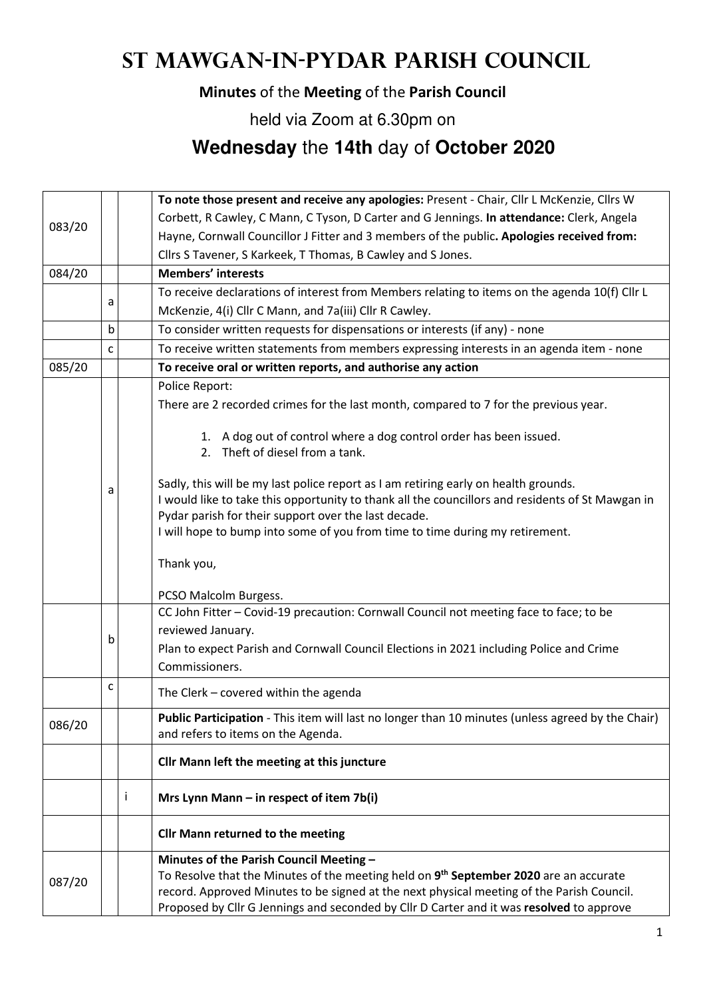# **St Mawgan-in-Pydar Parish Council**

### **Minutes** of the **Meeting** of the **Parish Council**

held via Zoom at 6.30pm on

## **Wednesday** the **14th** day of **October 2020**

|        |                                                              |  | To note those present and receive any apologies: Present - Chair, Cllr L McKenzie, Cllrs W                                                                                                                                                                                                                                      |  |  |
|--------|--------------------------------------------------------------|--|---------------------------------------------------------------------------------------------------------------------------------------------------------------------------------------------------------------------------------------------------------------------------------------------------------------------------------|--|--|
| 083/20 |                                                              |  | Corbett, R Cawley, C Mann, C Tyson, D Carter and G Jennings. In attendance: Clerk, Angela                                                                                                                                                                                                                                       |  |  |
|        |                                                              |  | Hayne, Cornwall Councillor J Fitter and 3 members of the public. Apologies received from:                                                                                                                                                                                                                                       |  |  |
|        |                                                              |  | Cllrs S Tavener, S Karkeek, T Thomas, B Cawley and S Jones.                                                                                                                                                                                                                                                                     |  |  |
| 084/20 |                                                              |  | <b>Members' interests</b>                                                                                                                                                                                                                                                                                                       |  |  |
|        |                                                              |  | To receive declarations of interest from Members relating to items on the agenda 10(f) Cllr L                                                                                                                                                                                                                                   |  |  |
|        | a                                                            |  | McKenzie, 4(i) Cllr C Mann, and 7a(iii) Cllr R Cawley.                                                                                                                                                                                                                                                                          |  |  |
|        | b                                                            |  | To consider written requests for dispensations or interests (if any) - none                                                                                                                                                                                                                                                     |  |  |
|        | C                                                            |  | To receive written statements from members expressing interests in an agenda item - none                                                                                                                                                                                                                                        |  |  |
| 085/20 | To receive oral or written reports, and authorise any action |  |                                                                                                                                                                                                                                                                                                                                 |  |  |
|        |                                                              |  | Police Report:                                                                                                                                                                                                                                                                                                                  |  |  |
|        |                                                              |  | There are 2 recorded crimes for the last month, compared to 7 for the previous year.                                                                                                                                                                                                                                            |  |  |
|        |                                                              |  | 1. A dog out of control where a dog control order has been issued.<br>2. Theft of diesel from a tank.                                                                                                                                                                                                                           |  |  |
|        | a                                                            |  | Sadly, this will be my last police report as I am retiring early on health grounds.<br>I would like to take this opportunity to thank all the councillors and residents of St Mawgan in<br>Pydar parish for their support over the last decade.<br>I will hope to bump into some of you from time to time during my retirement. |  |  |
|        |                                                              |  | Thank you,                                                                                                                                                                                                                                                                                                                      |  |  |
|        |                                                              |  | PCSO Malcolm Burgess.                                                                                                                                                                                                                                                                                                           |  |  |
|        |                                                              |  | CC John Fitter - Covid-19 precaution: Cornwall Council not meeting face to face; to be                                                                                                                                                                                                                                          |  |  |
|        | b                                                            |  | reviewed January.                                                                                                                                                                                                                                                                                                               |  |  |
|        |                                                              |  | Plan to expect Parish and Cornwall Council Elections in 2021 including Police and Crime<br>Commissioners.                                                                                                                                                                                                                       |  |  |
|        | с                                                            |  |                                                                                                                                                                                                                                                                                                                                 |  |  |
|        |                                                              |  | The Clerk - covered within the agenda                                                                                                                                                                                                                                                                                           |  |  |
| 086/20 |                                                              |  | Public Participation - This item will last no longer than 10 minutes (unless agreed by the Chair)<br>and refers to items on the Agenda.                                                                                                                                                                                         |  |  |
|        |                                                              |  | Cllr Mann left the meeting at this juncture                                                                                                                                                                                                                                                                                     |  |  |
|        |                                                              |  | Mrs Lynn Mann $-$ in respect of item 7b(i)                                                                                                                                                                                                                                                                                      |  |  |
|        |                                                              |  | <b>Cllr Mann returned to the meeting</b>                                                                                                                                                                                                                                                                                        |  |  |
|        |                                                              |  | Minutes of the Parish Council Meeting -                                                                                                                                                                                                                                                                                         |  |  |
| 087/20 |                                                              |  | To Resolve that the Minutes of the meeting held on 9th September 2020 are an accurate                                                                                                                                                                                                                                           |  |  |
|        |                                                              |  | record. Approved Minutes to be signed at the next physical meeting of the Parish Council.                                                                                                                                                                                                                                       |  |  |
|        |                                                              |  | Proposed by Cllr G Jennings and seconded by Cllr D Carter and it was resolved to approve                                                                                                                                                                                                                                        |  |  |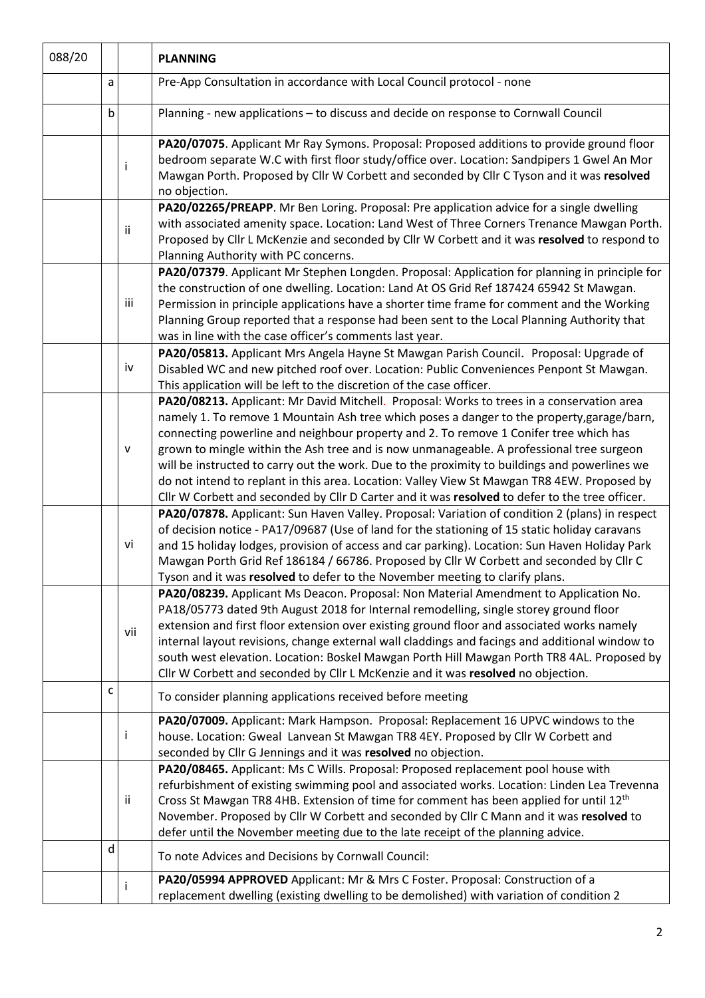| 088/20 |   |     | <b>PLANNING</b>                                                                                                                                                                                                                                                                                                                                                                                                                                                                                                                                                               |  |  |
|--------|---|-----|-------------------------------------------------------------------------------------------------------------------------------------------------------------------------------------------------------------------------------------------------------------------------------------------------------------------------------------------------------------------------------------------------------------------------------------------------------------------------------------------------------------------------------------------------------------------------------|--|--|
|        | a |     | Pre-App Consultation in accordance with Local Council protocol - none                                                                                                                                                                                                                                                                                                                                                                                                                                                                                                         |  |  |
|        | b |     | Planning - new applications - to discuss and decide on response to Cornwall Council                                                                                                                                                                                                                                                                                                                                                                                                                                                                                           |  |  |
|        |   | Ť   | PA20/07075. Applicant Mr Ray Symons. Proposal: Proposed additions to provide ground floor<br>bedroom separate W.C with first floor study/office over. Location: Sandpipers 1 Gwel An Mor<br>Mawgan Porth. Proposed by Cllr W Corbett and seconded by Cllr C Tyson and it was resolved<br>no objection.                                                                                                                                                                                                                                                                        |  |  |
|        |   | ii  | PA20/02265/PREAPP. Mr Ben Loring. Proposal: Pre application advice for a single dwelling<br>with associated amenity space. Location: Land West of Three Corners Trenance Mawgan Porth.<br>Proposed by Cllr L McKenzie and seconded by Cllr W Corbett and it was resolved to respond to<br>Planning Authority with PC concerns.                                                                                                                                                                                                                                                |  |  |
|        |   | iii | PA20/07379. Applicant Mr Stephen Longden. Proposal: Application for planning in principle for<br>the construction of one dwelling. Location: Land At OS Grid Ref 187424 65942 St Mawgan.<br>Permission in principle applications have a shorter time frame for comment and the Working<br>Planning Group reported that a response had been sent to the Local Planning Authority that<br>was in line with the case officer's comments last year.                                                                                                                               |  |  |
|        |   | iv  | PA20/05813. Applicant Mrs Angela Hayne St Mawgan Parish Council. Proposal: Upgrade of<br>Disabled WC and new pitched roof over. Location: Public Conveniences Penpont St Mawgan.<br>This application will be left to the discretion of the case officer.                                                                                                                                                                                                                                                                                                                      |  |  |
|        |   | v   | PA20/08213. Applicant: Mr David Mitchell. Proposal: Works to trees in a conservation area<br>namely 1. To remove 1 Mountain Ash tree which poses a danger to the property, garage/barn,<br>connecting powerline and neighbour property and 2. To remove 1 Conifer tree which has<br>grown to mingle within the Ash tree and is now unmanageable. A professional tree surgeon<br>will be instructed to carry out the work. Due to the proximity to buildings and powerlines we<br>do not intend to replant in this area. Location: Valley View St Mawgan TR8 4EW. Proposed by  |  |  |
|        |   | vi  | Cllr W Corbett and seconded by Cllr D Carter and it was resolved to defer to the tree officer.<br>PA20/07878. Applicant: Sun Haven Valley. Proposal: Variation of condition 2 (plans) in respect<br>of decision notice - PA17/09687 (Use of land for the stationing of 15 static holiday caravans<br>and 15 holiday lodges, provision of access and car parking). Location: Sun Haven Holiday Park<br>Mawgan Porth Grid Ref 186184 / 66786. Proposed by Cllr W Corbett and seconded by Cllr C<br>Tyson and it was resolved to defer to the November meeting to clarify plans. |  |  |
|        |   | vii | PA20/08239. Applicant Ms Deacon. Proposal: Non Material Amendment to Application No.<br>PA18/05773 dated 9th August 2018 for Internal remodelling, single storey ground floor<br>extension and first floor extension over existing ground floor and associated works namely<br>internal layout revisions, change external wall claddings and facings and additional window to<br>south west elevation. Location: Boskel Mawgan Porth Hill Mawgan Porth TR8 4AL. Proposed by<br>Cllr W Corbett and seconded by Cllr L McKenzie and it was resolved no objection.               |  |  |
|        | C |     | To consider planning applications received before meeting                                                                                                                                                                                                                                                                                                                                                                                                                                                                                                                     |  |  |
|        |   | I   | PA20/07009. Applicant: Mark Hampson. Proposal: Replacement 16 UPVC windows to the<br>house. Location: Gweal Lanvean St Mawgan TR8 4EY. Proposed by Cllr W Corbett and<br>seconded by Cllr G Jennings and it was resolved no objection.                                                                                                                                                                                                                                                                                                                                        |  |  |
|        |   | ij. | PA20/08465. Applicant: Ms C Wills. Proposal: Proposed replacement pool house with<br>refurbishment of existing swimming pool and associated works. Location: Linden Lea Trevenna<br>Cross St Mawgan TR8 4HB. Extension of time for comment has been applied for until 12 <sup>th</sup><br>November. Proposed by Cllr W Corbett and seconded by Cllr C Mann and it was resolved to<br>defer until the November meeting due to the late receipt of the planning advice.                                                                                                         |  |  |
|        | d |     | To note Advices and Decisions by Cornwall Council:                                                                                                                                                                                                                                                                                                                                                                                                                                                                                                                            |  |  |
|        |   |     | PA20/05994 APPROVED Applicant: Mr & Mrs C Foster. Proposal: Construction of a<br>replacement dwelling (existing dwelling to be demolished) with variation of condition 2                                                                                                                                                                                                                                                                                                                                                                                                      |  |  |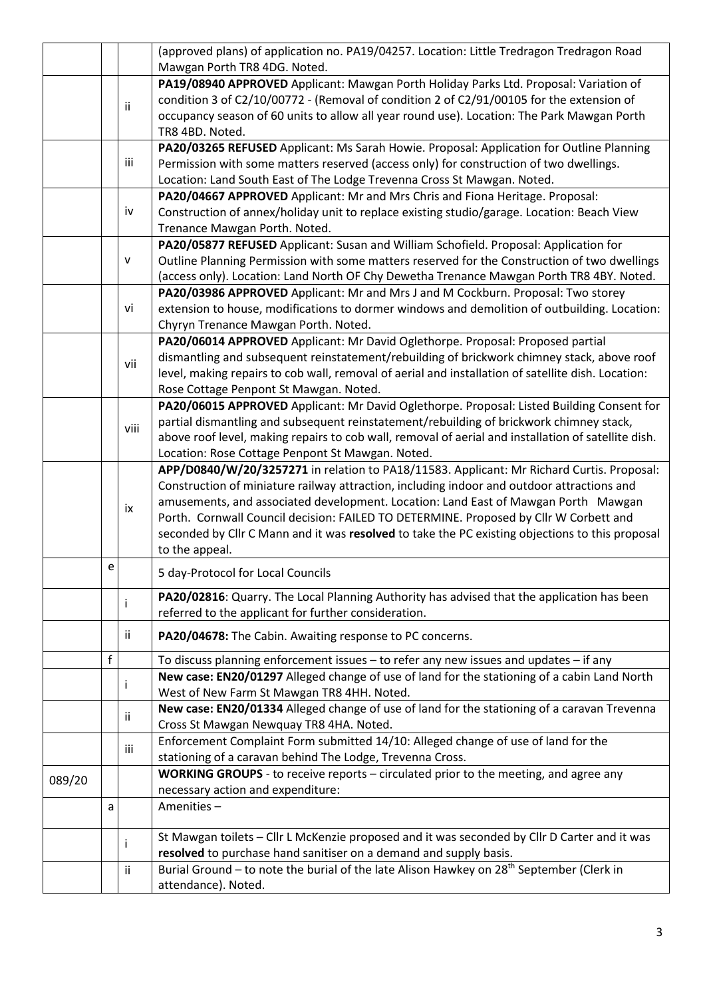|        |    |      | (approved plans) of application no. PA19/04257. Location: Little Tredragon Tredragon Road                                                                                                                                                                                       |  |  |
|--------|----|------|---------------------------------------------------------------------------------------------------------------------------------------------------------------------------------------------------------------------------------------------------------------------------------|--|--|
|        |    |      | Mawgan Porth TR8 4DG. Noted.                                                                                                                                                                                                                                                    |  |  |
| ij.    |    |      | PA19/08940 APPROVED Applicant: Mawgan Porth Holiday Parks Ltd. Proposal: Variation of<br>condition 3 of C2/10/00772 - (Removal of condition 2 of C2/91/00105 for the extension of<br>occupancy season of 60 units to allow all year round use). Location: The Park Mawgan Porth |  |  |
|        |    |      | TR8 4BD. Noted.                                                                                                                                                                                                                                                                 |  |  |
|        |    |      | PA20/03265 REFUSED Applicant: Ms Sarah Howie. Proposal: Application for Outline Planning                                                                                                                                                                                        |  |  |
|        |    | iii  | Permission with some matters reserved (access only) for construction of two dwellings.                                                                                                                                                                                          |  |  |
|        |    |      | Location: Land South East of The Lodge Trevenna Cross St Mawgan. Noted.                                                                                                                                                                                                         |  |  |
|        |    |      | PA20/04667 APPROVED Applicant: Mr and Mrs Chris and Fiona Heritage. Proposal:                                                                                                                                                                                                   |  |  |
|        |    | iv   | Construction of annex/holiday unit to replace existing studio/garage. Location: Beach View                                                                                                                                                                                      |  |  |
|        |    |      | Trenance Mawgan Porth. Noted.                                                                                                                                                                                                                                                   |  |  |
|        |    |      | PA20/05877 REFUSED Applicant: Susan and William Schofield. Proposal: Application for                                                                                                                                                                                            |  |  |
|        |    | v    | Outline Planning Permission with some matters reserved for the Construction of two dwellings                                                                                                                                                                                    |  |  |
|        |    |      | (access only). Location: Land North OF Chy Dewetha Trenance Mawgan Porth TR8 4BY. Noted.                                                                                                                                                                                        |  |  |
|        |    |      | PA20/03986 APPROVED Applicant: Mr and Mrs J and M Cockburn. Proposal: Two storey                                                                                                                                                                                                |  |  |
|        | vi |      | extension to house, modifications to dormer windows and demolition of outbuilding. Location:                                                                                                                                                                                    |  |  |
|        |    |      | Chyryn Trenance Mawgan Porth. Noted.                                                                                                                                                                                                                                            |  |  |
|        |    |      | PA20/06014 APPROVED Applicant: Mr David Oglethorpe. Proposal: Proposed partial                                                                                                                                                                                                  |  |  |
|        |    |      | dismantling and subsequent reinstatement/rebuilding of brickwork chimney stack, above roof                                                                                                                                                                                      |  |  |
|        |    | vii  | level, making repairs to cob wall, removal of aerial and installation of satellite dish. Location:                                                                                                                                                                              |  |  |
|        |    |      | Rose Cottage Penpont St Mawgan. Noted.                                                                                                                                                                                                                                          |  |  |
|        |    |      | PA20/06015 APPROVED Applicant: Mr David Oglethorpe. Proposal: Listed Building Consent for                                                                                                                                                                                       |  |  |
|        |    |      | partial dismantling and subsequent reinstatement/rebuilding of brickwork chimney stack,                                                                                                                                                                                         |  |  |
|        |    | viii | above roof level, making repairs to cob wall, removal of aerial and installation of satellite dish.                                                                                                                                                                             |  |  |
|        |    |      | Location: Rose Cottage Penpont St Mawgan. Noted.                                                                                                                                                                                                                                |  |  |
|        |    |      | APP/D0840/W/20/3257271 in relation to PA18/11583. Applicant: Mr Richard Curtis. Proposal:                                                                                                                                                                                       |  |  |
|        |    |      | Construction of miniature railway attraction, including indoor and outdoor attractions and                                                                                                                                                                                      |  |  |
|        |    |      | amusements, and associated development. Location: Land East of Mawgan Porth Mawgan                                                                                                                                                                                              |  |  |
|        |    | ix   | Porth. Cornwall Council decision: FAILED TO DETERMINE. Proposed by Cllr W Corbett and                                                                                                                                                                                           |  |  |
|        |    |      | seconded by Cllr C Mann and it was resolved to take the PC existing objections to this proposal                                                                                                                                                                                 |  |  |
|        |    |      | to the appeal.                                                                                                                                                                                                                                                                  |  |  |
|        | e  |      | 5 day-Protocol for Local Councils                                                                                                                                                                                                                                               |  |  |
|        |    |      | PA20/02816: Quarry. The Local Planning Authority has advised that the application has been                                                                                                                                                                                      |  |  |
|        |    |      | referred to the applicant for further consideration.                                                                                                                                                                                                                            |  |  |
|        |    | ii.  | PA20/04678: The Cabin. Awaiting response to PC concerns.                                                                                                                                                                                                                        |  |  |
|        | f  |      | To discuss planning enforcement issues - to refer any new issues and updates - if any                                                                                                                                                                                           |  |  |
|        |    |      | New case: EN20/01297 Alleged change of use of land for the stationing of a cabin Land North                                                                                                                                                                                     |  |  |
|        |    |      | West of New Farm St Mawgan TR8 4HH. Noted.                                                                                                                                                                                                                                      |  |  |
|        |    |      | New case: EN20/01334 Alleged change of use of land for the stationing of a caravan Trevenna                                                                                                                                                                                     |  |  |
|        |    | ii.  | Cross St Mawgan Newquay TR8 4HA. Noted.                                                                                                                                                                                                                                         |  |  |
|        |    |      | Enforcement Complaint Form submitted 14/10: Alleged change of use of land for the                                                                                                                                                                                               |  |  |
|        |    | iii  | stationing of a caravan behind The Lodge, Trevenna Cross.                                                                                                                                                                                                                       |  |  |
|        |    |      | WORKING GROUPS - to receive reports - circulated prior to the meeting, and agree any                                                                                                                                                                                            |  |  |
| 089/20 |    |      | necessary action and expenditure:                                                                                                                                                                                                                                               |  |  |
|        | a  |      | Amenities-                                                                                                                                                                                                                                                                      |  |  |
|        |    |      |                                                                                                                                                                                                                                                                                 |  |  |
|        |    |      | St Mawgan toilets - Cllr L McKenzie proposed and it was seconded by Cllr D Carter and it was                                                                                                                                                                                    |  |  |
|        |    |      | resolved to purchase hand sanitiser on a demand and supply basis.                                                                                                                                                                                                               |  |  |
|        |    | ii   | Burial Ground – to note the burial of the late Alison Hawkey on 28 <sup>th</sup> September (Clerk in                                                                                                                                                                            |  |  |
|        |    |      | attendance). Noted.                                                                                                                                                                                                                                                             |  |  |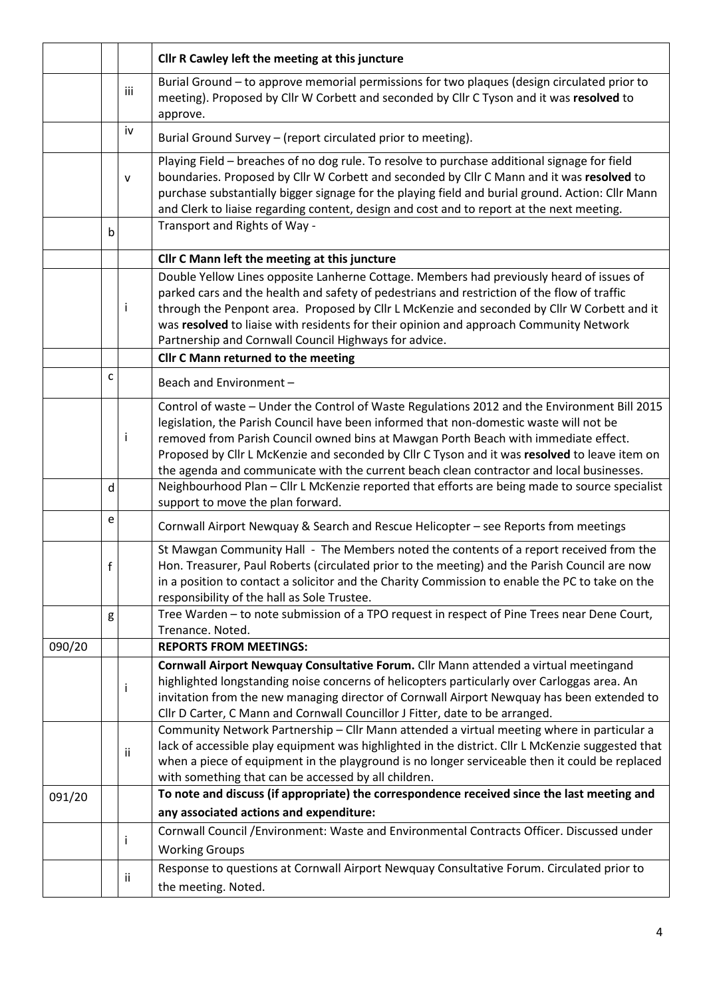|        |             |     | Cllr R Cawley left the meeting at this juncture                                                                                                                                                                                                                                                                                                                                                                                                                            |  |  |
|--------|-------------|-----|----------------------------------------------------------------------------------------------------------------------------------------------------------------------------------------------------------------------------------------------------------------------------------------------------------------------------------------------------------------------------------------------------------------------------------------------------------------------------|--|--|
|        |             | iii | Burial Ground - to approve memorial permissions for two plaques (design circulated prior to<br>meeting). Proposed by Cllr W Corbett and seconded by Cllr C Tyson and it was resolved to<br>approve.                                                                                                                                                                                                                                                                        |  |  |
|        |             | iv  | Burial Ground Survey – (report circulated prior to meeting).                                                                                                                                                                                                                                                                                                                                                                                                               |  |  |
|        |             | V   | Playing Field - breaches of no dog rule. To resolve to purchase additional signage for field<br>boundaries. Proposed by Cllr W Corbett and seconded by Cllr C Mann and it was resolved to<br>purchase substantially bigger signage for the playing field and burial ground. Action: Cllr Mann<br>and Clerk to liaise regarding content, design and cost and to report at the next meeting.                                                                                 |  |  |
|        | b           |     | Transport and Rights of Way -                                                                                                                                                                                                                                                                                                                                                                                                                                              |  |  |
|        |             |     | Cllr C Mann left the meeting at this juncture                                                                                                                                                                                                                                                                                                                                                                                                                              |  |  |
|        |             | j.  | Double Yellow Lines opposite Lanherne Cottage. Members had previously heard of issues of<br>parked cars and the health and safety of pedestrians and restriction of the flow of traffic<br>through the Penpont area. Proposed by Cllr L McKenzie and seconded by Cllr W Corbett and it<br>was resolved to liaise with residents for their opinion and approach Community Network<br>Partnership and Cornwall Council Highways for advice.                                  |  |  |
|        |             |     | <b>Cllr C Mann returned to the meeting</b>                                                                                                                                                                                                                                                                                                                                                                                                                                 |  |  |
|        | с           |     | Beach and Environment -                                                                                                                                                                                                                                                                                                                                                                                                                                                    |  |  |
|        |             | j.  | Control of waste - Under the Control of Waste Regulations 2012 and the Environment Bill 2015<br>legislation, the Parish Council have been informed that non-domestic waste will not be<br>removed from Parish Council owned bins at Mawgan Porth Beach with immediate effect.<br>Proposed by Cllr L McKenzie and seconded by Cllr C Tyson and it was resolved to leave item on<br>the agenda and communicate with the current beach clean contractor and local businesses. |  |  |
|        | d           |     | Neighbourhood Plan - Cllr L McKenzie reported that efforts are being made to source specialist<br>support to move the plan forward.                                                                                                                                                                                                                                                                                                                                        |  |  |
|        | e           |     | Cornwall Airport Newquay & Search and Rescue Helicopter - see Reports from meetings                                                                                                                                                                                                                                                                                                                                                                                        |  |  |
|        | $\mathsf f$ |     | St Mawgan Community Hall - The Members noted the contents of a report received from the<br>Hon. Treasurer, Paul Roberts (circulated prior to the meeting) and the Parish Council are now<br>in a position to contact a solicitor and the Charity Commission to enable the PC to take on the<br>responsibility of the hall as Sole Trustee.                                                                                                                                 |  |  |
|        | g           |     | Tree Warden - to note submission of a TPO request in respect of Pine Trees near Dene Court,<br>Trenance. Noted.                                                                                                                                                                                                                                                                                                                                                            |  |  |
| 090/20 |             |     | <b>REPORTS FROM MEETINGS:</b>                                                                                                                                                                                                                                                                                                                                                                                                                                              |  |  |
|        |             | j.  | Cornwall Airport Newquay Consultative Forum. Cllr Mann attended a virtual meetingand<br>highlighted longstanding noise concerns of helicopters particularly over Carloggas area. An<br>invitation from the new managing director of Cornwall Airport Newquay has been extended to<br>Cllr D Carter, C Mann and Cornwall Councillor J Fitter, date to be arranged.                                                                                                          |  |  |
|        |             | ii  | Community Network Partnership - Cllr Mann attended a virtual meeting where in particular a<br>lack of accessible play equipment was highlighted in the district. Cllr L McKenzie suggested that<br>when a piece of equipment in the playground is no longer serviceable then it could be replaced<br>with something that can be accessed by all children.                                                                                                                  |  |  |
| 091/20 |             |     | To note and discuss (if appropriate) the correspondence received since the last meeting and                                                                                                                                                                                                                                                                                                                                                                                |  |  |
|        |             |     | any associated actions and expenditure:                                                                                                                                                                                                                                                                                                                                                                                                                                    |  |  |
|        |             | Ť   | Cornwall Council /Environment: Waste and Environmental Contracts Officer. Discussed under<br><b>Working Groups</b>                                                                                                                                                                                                                                                                                                                                                         |  |  |
|        |             | Ϊİ  | Response to questions at Cornwall Airport Newquay Consultative Forum. Circulated prior to<br>the meeting. Noted.                                                                                                                                                                                                                                                                                                                                                           |  |  |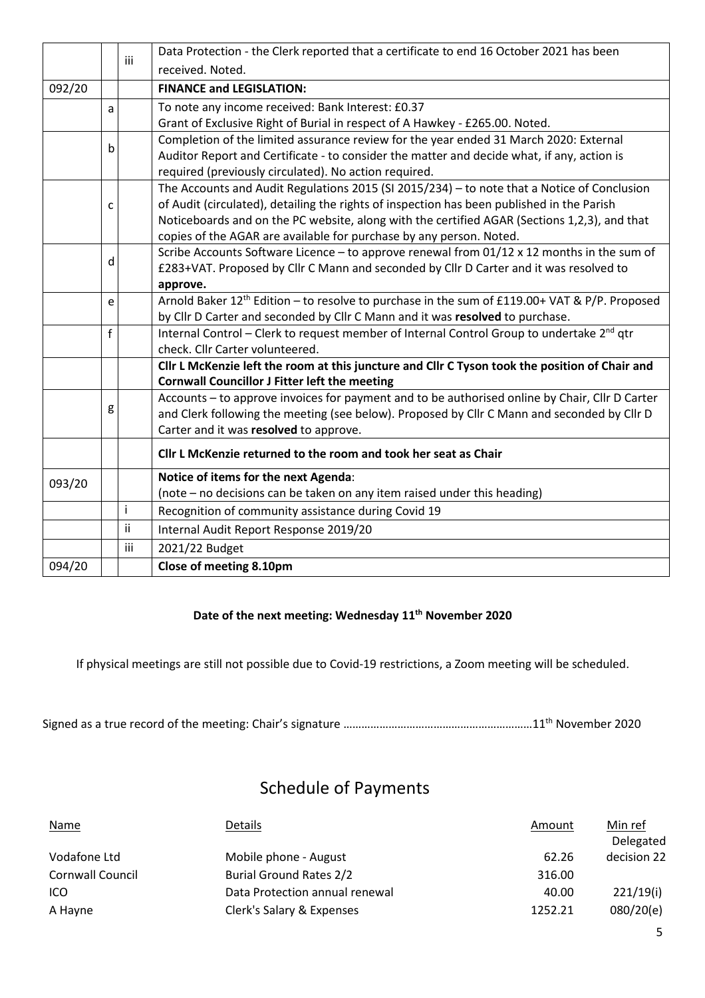|              |                                                                             | iii                                                                                                   | Data Protection - the Clerk reported that a certificate to end 16 October 2021 has been                               |  |  |  |  |
|--------------|-----------------------------------------------------------------------------|-------------------------------------------------------------------------------------------------------|-----------------------------------------------------------------------------------------------------------------------|--|--|--|--|
|              |                                                                             |                                                                                                       | received. Noted.                                                                                                      |  |  |  |  |
| 092/20       |                                                                             |                                                                                                       | <b>FINANCE and LEGISLATION:</b>                                                                                       |  |  |  |  |
|              | a                                                                           |                                                                                                       | To note any income received: Bank Interest: £0.37                                                                     |  |  |  |  |
|              | Grant of Exclusive Right of Burial in respect of A Hawkey - £265.00. Noted. |                                                                                                       |                                                                                                                       |  |  |  |  |
| $\mathsf{b}$ |                                                                             |                                                                                                       | Completion of the limited assurance review for the year ended 31 March 2020: External                                 |  |  |  |  |
|              |                                                                             |                                                                                                       | Auditor Report and Certificate - to consider the matter and decide what, if any, action is                            |  |  |  |  |
|              |                                                                             |                                                                                                       | required (previously circulated). No action required.                                                                 |  |  |  |  |
|              |                                                                             |                                                                                                       | The Accounts and Audit Regulations 2015 (SI 2015/234) - to note that a Notice of Conclusion                           |  |  |  |  |
|              | $\mathsf{C}$                                                                |                                                                                                       | of Audit (circulated), detailing the rights of inspection has been published in the Parish                            |  |  |  |  |
|              |                                                                             |                                                                                                       | Noticeboards and on the PC website, along with the certified AGAR (Sections 1,2,3), and that                          |  |  |  |  |
|              |                                                                             |                                                                                                       | copies of the AGAR are available for purchase by any person. Noted.                                                   |  |  |  |  |
|              | d                                                                           |                                                                                                       | Scribe Accounts Software Licence - to approve renewal from 01/12 x 12 months in the sum of                            |  |  |  |  |
|              |                                                                             |                                                                                                       | £283+VAT. Proposed by Cllr C Mann and seconded by Cllr D Carter and it was resolved to                                |  |  |  |  |
|              |                                                                             |                                                                                                       | approve.<br>Arnold Baker 12 <sup>th</sup> Edition - to resolve to purchase in the sum of £119.00+ VAT & P/P. Proposed |  |  |  |  |
|              | e                                                                           |                                                                                                       | by Cllr D Carter and seconded by Cllr C Mann and it was resolved to purchase.                                         |  |  |  |  |
|              | $\mathbf{f}$                                                                | Internal Control - Clerk to request member of Internal Control Group to undertake 2 <sup>nd</sup> qtr |                                                                                                                       |  |  |  |  |
|              |                                                                             |                                                                                                       | check. Cllr Carter volunteered.                                                                                       |  |  |  |  |
|              |                                                                             |                                                                                                       | Cllr L McKenzie left the room at this juncture and Cllr C Tyson took the position of Chair and                        |  |  |  |  |
|              |                                                                             |                                                                                                       | <b>Cornwall Councillor J Fitter left the meeting</b>                                                                  |  |  |  |  |
|              |                                                                             |                                                                                                       | Accounts - to approve invoices for payment and to be authorised online by Chair, Cllr D Carter                        |  |  |  |  |
|              | g                                                                           |                                                                                                       | and Clerk following the meeting (see below). Proposed by Cllr C Mann and seconded by Cllr D                           |  |  |  |  |
|              |                                                                             |                                                                                                       | Carter and it was resolved to approve.                                                                                |  |  |  |  |
|              |                                                                             |                                                                                                       | Cllr L McKenzie returned to the room and took her seat as Chair                                                       |  |  |  |  |
| 093/20       |                                                                             |                                                                                                       | Notice of items for the next Agenda:                                                                                  |  |  |  |  |
|              |                                                                             |                                                                                                       | (note - no decisions can be taken on any item raised under this heading)                                              |  |  |  |  |
|              |                                                                             | j.                                                                                                    | Recognition of community assistance during Covid 19                                                                   |  |  |  |  |
|              |                                                                             | ii                                                                                                    | Internal Audit Report Response 2019/20                                                                                |  |  |  |  |
|              |                                                                             | iii                                                                                                   | 2021/22 Budget                                                                                                        |  |  |  |  |
| 094/20       |                                                                             |                                                                                                       | Close of meeting 8.10pm                                                                                               |  |  |  |  |

#### **Date of the next meeting: Wednesday 11th November 2020**

If physical meetings are still not possible due to Covid-19 restrictions, a Zoom meeting will be scheduled.

|--|--|

## Schedule of Payments

| <b>Name</b>             | Details                        | Amount  | Min ref<br>Delegated |
|-------------------------|--------------------------------|---------|----------------------|
| Vodafone Ltd            | Mobile phone - August          | 62.26   | decision 22          |
| <b>Cornwall Council</b> | <b>Burial Ground Rates 2/2</b> | 316.00  |                      |
| ICO.                    | Data Protection annual renewal | 40.00   | 221/19(i)            |
| A Hayne                 | Clerk's Salary & Expenses      | 1252.21 | 080/20(e)            |